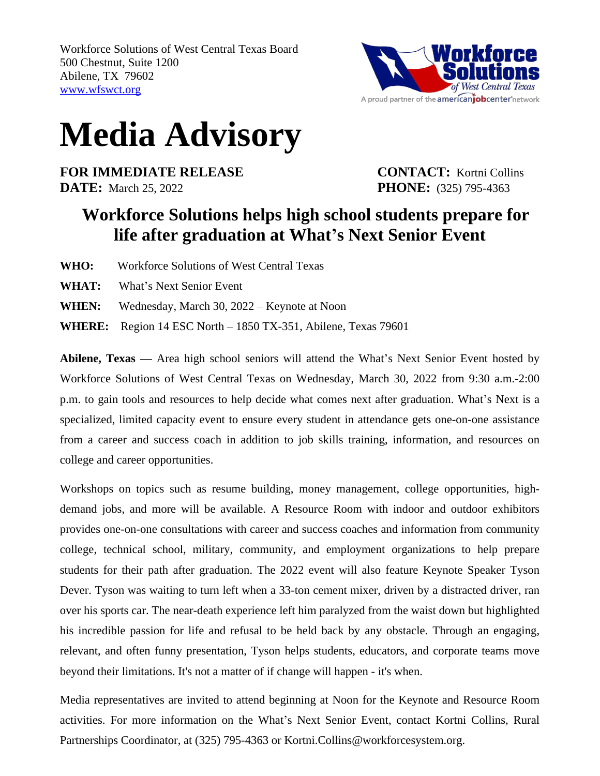

## **Media Advisory**

**FOR IMMEDIATE RELEASE CONTACT:** Kortni Collins **DATE:** March 25, 2022 **PHONE:** (325) 795-4363

## **Workforce Solutions helps high school students prepare for life after graduation at What's Next Senior Event**

- **WHO:** Workforce Solutions of West Central Texas
- **WHAT:** What's Next Senior Event
- **WHEN:** Wednesday, March 30, 2022 Keynote at Noon

**WHERE:** Region 14 ESC North – 1850 TX-351, Abilene, Texas 79601

**Abilene, Texas —** Area high school seniors will attend the What's Next Senior Event hosted by Workforce Solutions of West Central Texas on Wednesday, March 30, 2022 from 9:30 a.m.-2:00 p.m. to gain tools and resources to help decide what comes next after graduation. What's Next is a specialized, limited capacity event to ensure every student in attendance gets one-on-one assistance from a career and success coach in addition to job skills training, information, and resources on college and career opportunities.

Workshops on topics such as resume building, money management, college opportunities, highdemand jobs, and more will be available. A Resource Room with indoor and outdoor exhibitors provides one-on-one consultations with career and success coaches and information from community college, technical school, military, community, and employment organizations to help prepare students for their path after graduation. The 2022 event will also feature Keynote Speaker Tyson Dever. Tyson was waiting to turn left when a 33-ton cement mixer, driven by a distracted driver, ran over his sports car. The near-death experience left him paralyzed from the waist down but highlighted his incredible passion for life and refusal to be held back by any obstacle. Through an engaging, relevant, and often funny presentation, Tyson helps students, educators, and corporate teams move beyond their limitations. It's not a matter of if change will happen - it's when.

Media representatives are invited to attend beginning at Noon for the Keynote and Resource Room activities. For more information on the What's Next Senior Event, contact Kortni Collins, Rural Partnerships Coordinator, at (325) 795-4363 or Kortni.Collins@workforcesystem.org.